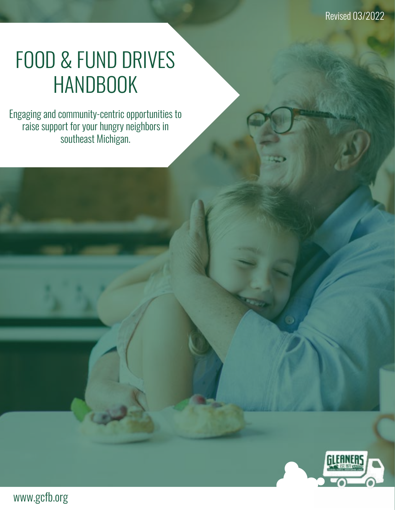# FOOD & FUND DRIVES **HANDBOOK**

Engaging and community-centric opportunities to raise support for your hungry neighbors in southeast Michigan.

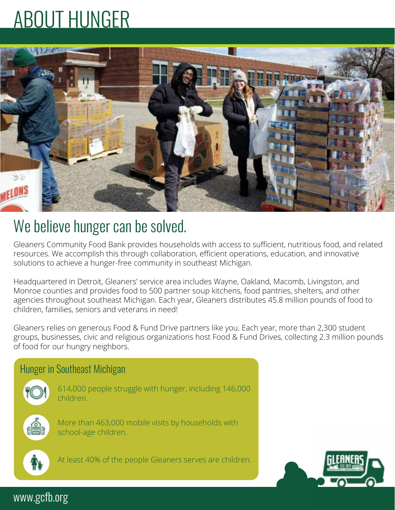# ABOUT HUNGER



# We believe hunger can be solved.

Gleaners Community Food Bank provides households with access to sufficient, nutritious food, and related resources. We accomplish this through collaboration, efficient operations, education, and innovative solutions to achieve a hunger-free community in southeast Michigan.

Headquartered in Detroit, Gleaners' service area includes Wayne, Oakland, Macomb, Livingston, and Monroe counties and provides food to 500 partner soup kitchens, food pantries, shelters, and other agencies throughout southeast Michigan. Each year, Gleaners distributes 45.8 million pounds of food to children, families, seniors and veterans in need!

Gleaners relies on generous Food & Fund Drive partners like you. Each year, more than 2,300 student groups, businesses, civic and religious organizations host Food & Fund Drives, collecting 2.3 million pounds of food for our hungry neighbors.



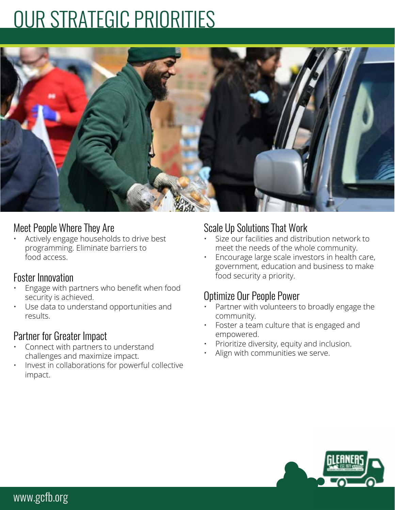# OUR STRATEGIC PRIORITIES



### Meet People Where They Are

• Actively engage households to drive best programming. Eliminate barriers to food access.

### Foster Innovation

- Engage with partners who benefit when food security is achieved.
- Use data to understand opportunities and results.

## Partner for Greater Impact

- Connect with partners to understand challenges and maximize impact.
- Invest in collaborations for powerful collective impact.

# Scale Up Solutions That Work

- Size our facilities and distribution network to meet the needs of the whole community.
- Encourage large scale investors in health care, government, education and business to make food security a priority.

## Optimize Our People Power

- Partner with volunteers to broadly engage the community.
- Foster a team culture that is engaged and empowered.
- Prioritize diversity, equity and inclusion.
- Align with communities we serve.

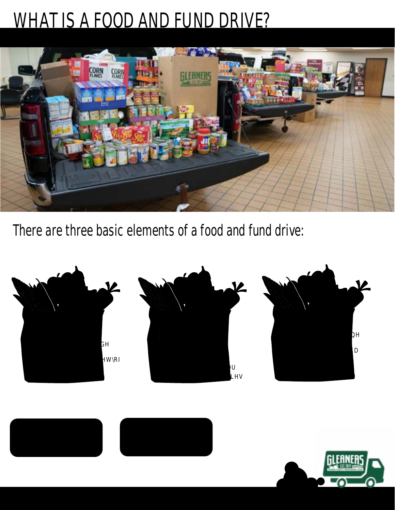# WHAT IS A FOOD AND FUND DRIVE?



There are three basic elements of a food and fund drive:



Donate nonperishable IRRGKWPDQSURGH **QDANADAM** DHEH**M**DUHW greatly needed items.



Fund Drive



DINHRMGULYHROL<del>O</del> GROWNRRGWRIO

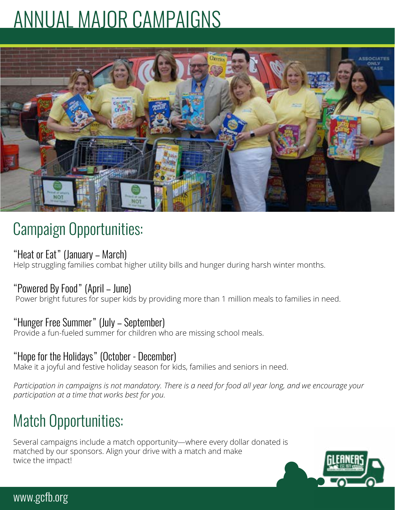# ANNUAL MAJOR CAMPAIGNS



# Campaign Opportunities:

## "Heat or Eat" (January – March)

Help struggling families combat higher utility bills and hunger during harsh winter months.

## "Powered By Food" (April – June)

Power bright futures for super kids by providing more than 1 million meals to families in need.

## "Hunger Free Summer" (July – September)

Provide a fun-fueled summer for children who are missing school meals.

## "Hope for the Holidays" (October - December)

Make it a joyful and festive holiday season for kids, families and seniors in need.

*Participation in campaigns is not mandatory. There is a need for food all year long, and we encourage your participation at a time that works best for you.*

# Match Opportunities:

Several campaigns include a match opportunity—where every dollar donated is matched by our sponsors. Align your drive with a match and make twice the impact!

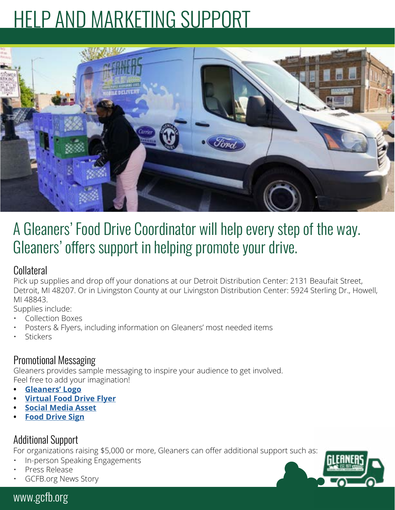# HELP AND MARKETING SUPPORT



# A Gleaners' Food Drive Coordinator will help every step of the way. Gleaners' offers support in helping promote your drive.

## Collateral

Pick up supplies and drop off your donations at our Detroit Distribution Center: 2131 Beaufait Street, Detroit, MI 48207. Or in Livingston County at our Livingston Distribution Center: 5924 Sterling Dr., Howell, MI 48843.

Supplies include:

- Collection Boxes
- Posters & Flyers, including information on Gleaners' most needed items
- **Stickers**

### Promotional Messaging

Gleaners provides sample messaging to inspire your audience to get involved. Feel free to add your imagination!

- **• [Gleaners' Logo](mailto:https://www.gcfb.org/wp-content/uploads/2020/09/GCFB-Final-Logo_2017_RGB.jpg?subject=)**
- **• [Virtual Food Drive Flyer](https://www.gcfb.org/wp-content/uploads/2020/09/Gleaners-General-Virtual-Food-Drives-Flyer-2020.docx)**
- **• [Social Media Asse](https://www.gcfb.org/wp-content/uploads/2020/09/Gleaners-Social-Media-Image-scaled.jpg)[t](https://www.gcfb.org/wp-content/uploads/2022/03/FoodDriveFlyer-1-2.pdf)**
- **• [Food Drive Sig](https://www.gcfb.org/wp-content/uploads/2020/09/Gleaners-General-Virtual-Food-Drive-Sign-2020.pdf)[n](https://www.gcfb.org/wp-content/uploads/2022/03/Virtual-Food-Drive-Flyers-final-1-1.docx)**

# Additional Support

For organizations raising \$5,000 or more, Gleaners can offer additional support such as:

- In-person Speaking Engagements
- Press Release
- GCFB.org News Story

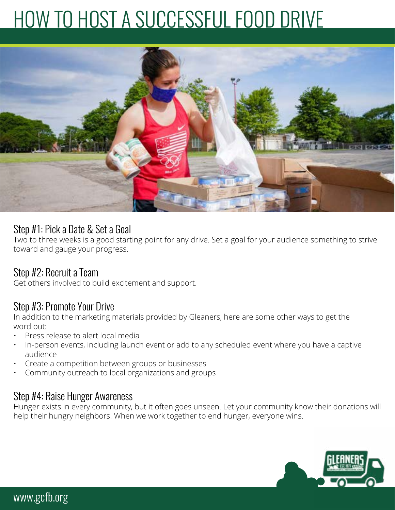# HOW TO HOST A SUCCESSFUL FOOD DRIVE



#### Step #1: Pick a Date & Set a Goal

Two to three weeks is a good starting point for any drive. Set a goal for your audience something to strive toward and gauge your progress.

### Step #2: Recruit a Team

Get others involved to build excitement and support.

### Step #3: Promote Your Drive

In addition to the marketing materials provided by Gleaners, here are some other ways to get the word out:

- Press release to alert local media
- In-person events, including launch event or add to any scheduled event where you have a captive audience
- Create a competition between groups or businesses
- Community outreach to local organizations and groups

#### Step #4: Raise Hunger Awareness

Hunger exists in every community, but it often goes unseen. Let your community know their donations will help their hungry neighbors. When we work together to end hunger, everyone wins.